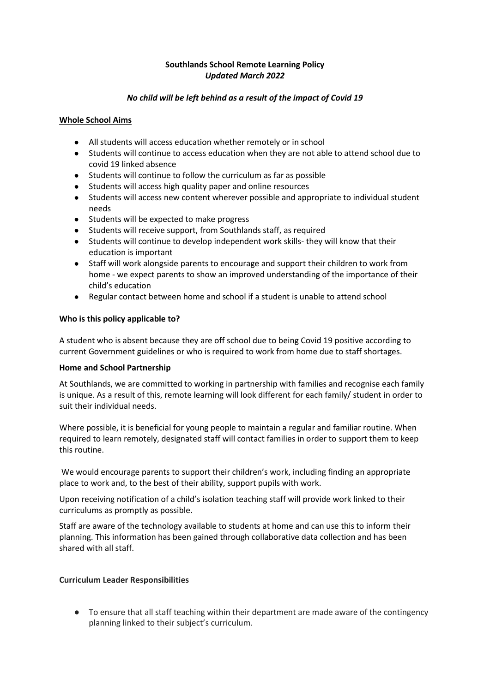# **Southlands School Remote Learning Policy** *Updated March 2022*

## *No child will be left behind as a result of the impact of Covid 19*

## **Whole School Aims**

- All students will access education whether remotely or in school
- Students will continue to access education when they are not able to attend school due to covid 19 linked absence
- Students will continue to follow the curriculum as far as possible
- Students will access high quality paper and online resources
- Students will access new content wherever possible and appropriate to individual student needs
- Students will be expected to make progress
- Students will receive support, from Southlands staff, as required
- Students will continue to develop independent work skills- they will know that their education is important
- Staff will work alongside parents to encourage and support their children to work from home - we expect parents to show an improved understanding of the importance of their child's education
- Regular contact between home and school if a student is unable to attend school

## **Who is this policy applicable to?**

A student who is absent because they are off school due to being Covid 19 positive according to current Government guidelines or who is required to work from home due to staff shortages.

### **Home and School Partnership**

At Southlands, we are committed to working in partnership with families and recognise each family is unique. As a result of this, remote learning will look different for each family/ student in order to suit their individual needs.

Where possible, it is beneficial for young people to maintain a regular and familiar routine. When required to learn remotely, designated staff will contact families in order to support them to keep this routine.

We would encourage parents to support their children's work, including finding an appropriate place to work and, to the best of their ability, support pupils with work.

Upon receiving notification of a child's isolation teaching staff will provide work linked to their curriculums as promptly as possible.

Staff are aware of the technology available to students at home and can use this to inform their planning. This information has been gained through collaborative data collection and has been shared with all staff.

### **Curriculum Leader Responsibilities**

● To ensure that all staff teaching within their department are made aware of the contingency planning linked to their subject's curriculum.